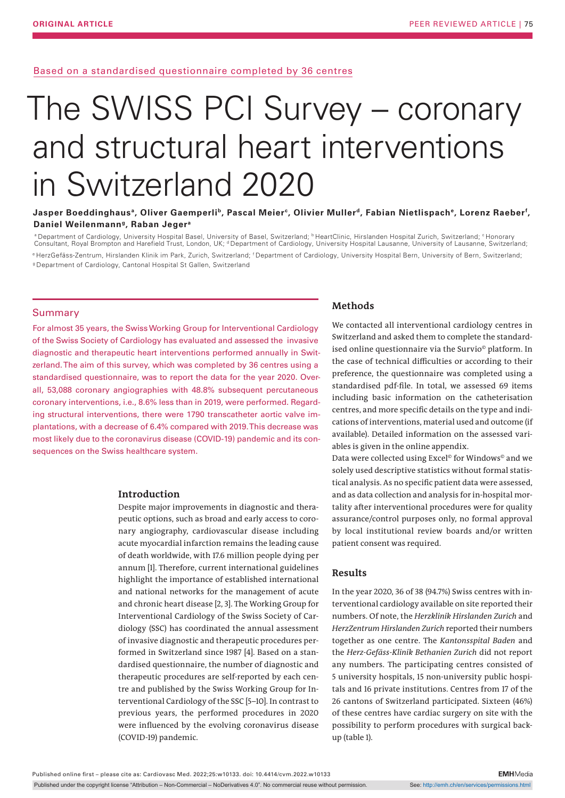Based on a standardised questionnaire completed by 36 centres

# The SWISS PCI Survey – coronary and structural heart interventions in Switzerland 2020

### Jasper Boeddinghaus<sup>a</sup>, Oliver Gaemperli<sup>b</sup>, Pascal Meier°, Olivier Muller<sup>d</sup>, Fabian Nietlispach°, Lorenz Raeber<sup>f</sup>, **Daniel Weilenmanng, Raban Jegera**

<sup>a</sup> Department of Cardiology, University Hospital Basel, University of Basel, Switzerland; <sup>b</sup> HeartClinic, Hirslanden Hospital Zurich, Switzerland; <sup>c</sup> Honorary Consultant, Royal Brompton and Harefield Trust, London, UK; <sup>d</sup> Department of Cardiology, University Hospital Lausanne, University of Lausanne, Switzerland; <sup>e</sup> HerzGefäss-Zentrum, Hirslanden Klinik im Park, Zurich, Switzerland; <sup>f</sup> Department of Cardiology, University Hospital Bern, University of Bern, Switzerland; <sup>g</sup>Department of Cardiology, Cantonal Hospital St Gallen, Switzerland

#### Summary

For almost 35 years, the Swiss Working Group for Interventional Cardiology of the Swiss Society of Cardiology has evaluated and assessed the invasive diagnostic and therapeutic heart interventions performed annually in Switzerland. The aim of this survey, which was completed by 36 centres using a standardised questionnaire, was to report the data for the year 2020. Overall, 53,088 coronary angiographies with 48.8% subsequent percutaneous coronary interventions, i.e., 8.6% less than in 2019, were performed. Regarding structural interventions, there were 1790 transcatheter aortic valve implantations, with a decrease of 6.4% compared with 2019. This decrease was most likely due to the coronavirus disease (COVID-19) pandemic and its consequences on the Swiss healthcare system.

#### **Introduction**

Despite major improvements in diagnostic and therapeutic options, such as broad and early access to coronary angiography, cardiovascular disease including acute myocardial infarction remains the leading cause of death worldwide, with 17.6 million people dying per annum [1]. Therefore, current international guidelines highlight the importance of established international and national networks for the management of acute and chronic heart disease [2, 3]. The Working Group for Interventional Cardiology of the Swiss Society of Cardiology (SSC) has coordinated the annual assessment of invasive diagnostic and therapeutic procedures performed in Switzerland since 1987 [4]. Based on a standardised questionnaire, the number of diagnostic and therapeutic procedures are self-reported by each centre and published by the Swiss Working Group for Interventional Cardiology of the SSC [5–10]. In contrast to previous years, the performed procedures in 2020 were influenced by the evolving coronavirus disease (COVID-19) pandemic.

## **Methods**

We contacted all interventional cardiology centres in Switzerland and asked them to complete the standardised online questionnaire via the Survio© platform. In the case of technical difficulties or according to their preference, the questionnaire was completed using a standardised pdf-file. In total, we assessed 69 items including basic information on the catheterisation centres, and more specific details on the type and indications of interventions, material used and outcome (if available). Detailed information on the assessed variables is given in the online appendix.

Data were collected using Excel<sup>®</sup> for Windows<sup>®</sup> and we solely used descriptive statistics without formal statistical analysis. As no specific patient data were assessed, and as data collection and analysis for in-hospital mortality after interventional procedures were for quality assurance/control purposes only, no formal approval by local institutional review boards and/or written patient consent was required.

## **Results**

In the year 2020, 36 of 38 (94.7%) Swiss centres with interventional cardiology available on site reported their numbers. Of note, the *Herzklinik Hirslanden Zurich* and *HerzZentrum Hirslanden Zurich* reported their numbers together as one centre. The *Kantonsspital Baden* and the *Herz-Gefäss-Klinik Bethanien Zurich* did not report any numbers. The participating centres consisted of 5 university hospitals, 15 non-university public hospitals and 16 private institutions. Centres from 17 of the 26 cantons of Switzerland participated. Sixteen (46%) of these centres have cardiac surgery on site with the possibility to perform procedures with surgical backup (table 1).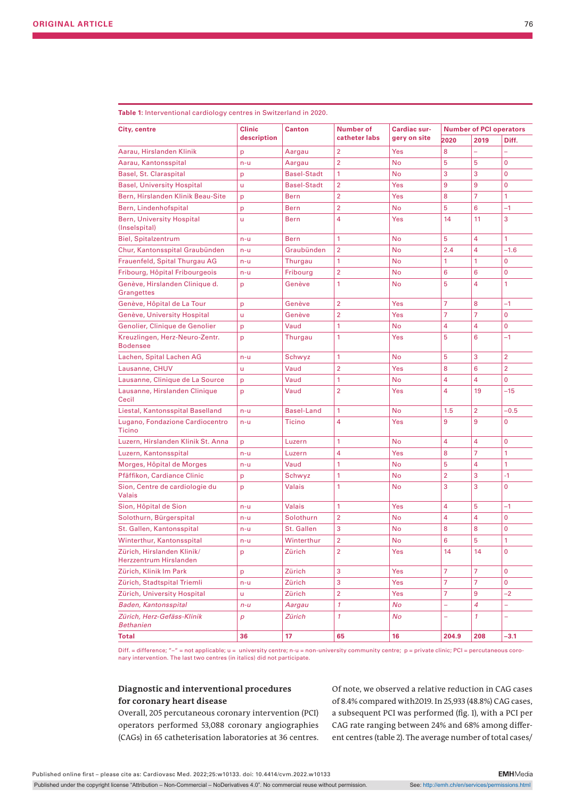| City, centre                                      | <b>Clinic</b> | <b>Canton</b>      | Number of      | Cardiac sur- | <b>Number of PCI operators</b> |                |                |  |
|---------------------------------------------------|---------------|--------------------|----------------|--------------|--------------------------------|----------------|----------------|--|
|                                                   | description   |                    | catheter labs  | gery on site | 2020                           | 2019           | Diff.          |  |
| Aarau, Hirslanden Klinik                          | p             | Aargau             | 2              | Yes          | 8                              | L,             | L.             |  |
| Aarau, Kantonsspital                              | $n - u$       | Aargau             | $\overline{2}$ | No           | 5                              | 5              | 0              |  |
| Basel, St. Claraspital                            | p             | <b>Basel-Stadt</b> | 1              | No.          | 3                              | 3              | 0              |  |
| <b>Basel, University Hospital</b>                 | ū             | <b>Basel-Stadt</b> | $\overline{2}$ | Yes          | 9                              | 9              | 0              |  |
| Bern, Hirslanden Klinik Beau-Site                 | p             | Bern               | $\overline{2}$ | Yes          | 8                              | 7              | 1              |  |
| Bern, Lindenhofspital                             | p             | Bern               | $\overline{2}$ | No.          | 5                              | 6              | $-1$           |  |
| <b>Bern, University Hospital</b><br>(Inselspital) | ū             | <b>Bern</b>        | 4              | Yes          | 14                             | 11             | 3              |  |
| <b>Biel, Spitalzentrum</b>                        | $n - u$       | <b>Bern</b>        | 1              | No           | 5                              | 4              | 1              |  |
| Chur, Kantonsspital Graubünden                    | n-u           | Graubünden         | $\overline{2}$ | No           | 2.4                            | 4              | $-1.6$         |  |
| Frauenfeld, Spital Thurgau AG                     | $n - u$       | Thurgau            | 1              | No           | 1                              | 1              | 0              |  |
| Fribourg, Hôpital Fribourgeois                    | n-u           | Fribourg           | 2              | <b>No</b>    | 6                              | 6              | 0              |  |
| Genève, Hirslanden Clinique d.<br>Grangettes      | p             | Genève             | 1              | No           | 5                              | 4              | 1              |  |
| Genève, Hôpital de La Tour                        | p             | Genève             | 2              | Yes          | 7                              | 8              | $-1$           |  |
| Genève, University Hospital                       | ū             | Genève             | $\overline{2}$ | Yes          | 7                              | 7              | 0              |  |
| Genolier, Clinique de Genolier                    | p             | Vaud               | 1              | No           | 4                              | 4              | 0              |  |
| Kreuzlingen, Herz-Neuro-Zentr.<br><b>Bodensee</b> | p             | Thurgau            | 1              | Yes          | 5                              | 6              | $-1$           |  |
| Lachen, Spital Lachen AG                          | $n - u$       | Schwyz             | 1              | <b>No</b>    | 5                              | 3              | 2              |  |
| Lausanne, CHUV                                    | ū             | Vaud               | $\overline{2}$ | Yes          | 8                              | 6              | $\overline{2}$ |  |
| Lausanne, Clinique de La Source                   | p             | Vaud               | 1              | No.          | 4                              | 4              | 0              |  |
| Lausanne, Hirslanden Clinique<br>Cecil            | p             | Vaud               | $\overline{2}$ | Yes          | 4                              | 19             | -15            |  |
| Liestal, Kantonsspital Baselland                  | $n - u$       | <b>Basel-Land</b>  | 1              | No           | 1.5                            | $\overline{2}$ | $-0.5$         |  |
| Lugano, Fondazione Cardiocentro<br>Ticino         | n-u           | <b>Ticino</b>      | 4              | Yes          | 9                              | 9              | 0              |  |
| Luzern, Hirslanden Klinik St. Anna                | p             | Luzern             | 1              | <b>No</b>    | 4                              | 4              | 0              |  |
| Luzern, Kantonsspital                             | $n - u$       | Luzern             | 4              | Yes          | 8                              | 7              | 1              |  |
| Morges, Hôpital de Morges                         | n-u           | Vaud               | 1              | No.          | 5                              | 4              | 1              |  |
| Pfäffikon, Cardiance Clinic                       | p             | Schwyz             | 1              | No           | $\overline{2}$                 | 3              | $-1$           |  |
| Sion, Centre de cardiologie du<br><b>Valais</b>   | p             | <b>Valais</b>      | 1              | No.          | 3                              | 3              | 0              |  |
| Sion, Hôpital de Sion                             | n-u           | <b>Valais</b>      | 1              | Yes          | 4                              | 5              | $-1$           |  |
| Solothurn, Bürgerspital                           | n-u           | Solothurn          | 2              | No           | 4                              | 4              | 0              |  |
| St. Gallen, Kantonsspital                         | n-u           | St. Gallen         | 3              | No           | 8                              | 8              | 0              |  |
| Winterthur, Kantonsspital                         | n-u           | Winterthur         | 2              | No           | 6                              | 5              | 1              |  |
| Zürich, Hirslanden Klinik/                        | p             | Zürich             | 2              | Yes          | 14                             | 14             | 0              |  |
| Herzzentrum Hirslanden                            |               |                    |                |              |                                |                |                |  |
| Zürich, Klinik Im Park                            | p             | Zürich             | 3              | Yes          | 7                              | 7.             | 0              |  |
| Zürich, Stadtspital Triemli                       | n-u           | Zürich             | 3              | Yes          | 7                              | 7              | 0              |  |
| Zürich, University Hospital                       | u             | Zürich             | 2              | Yes          | 7                              | 9              | $-2$           |  |
| Baden, Kantonsspital                              | $n - u$       | Aargau             | 1              | No           | ÷                              | 4              | -              |  |
| Zürich, Herz-Gefäss-Klinik<br><b>Bethanien</b>    | р             | Zürich             | 1              | No           | ÷                              | $\mathcal{I}$  | ÷,             |  |
| <b>Total</b>                                      | 36            | 17                 | 65             | 16           | 204.9                          | 208            | -3.1           |  |

**Table 1:** Interventional cardiology centres in Switzerland in 2020.

Diff. = difference; "-" = not applicable; u = university centre; n-u = non-university community centre; p = private clinic; PCI = percutaneous coronary intervention. The last two centres (in italics) did not participate.

## **Diagnostic and interventional procedures for coronary heart disease**

Overall, 205 percutaneous coronary intervention (PCI) operators performed 53,088 coronary angiographies (CAGs) in 65 catheterisation laboratories at 36 centres.

Of note, we observed a relative reduction in CAG cases of 8.4% compared with2019. In 25,933 (48.8%) CAG cases, a subsequent PCI was performed (fig. 1), with a PCI per CAG rate ranging between 24% and 68% among different centres (table 2). The average number of total cases/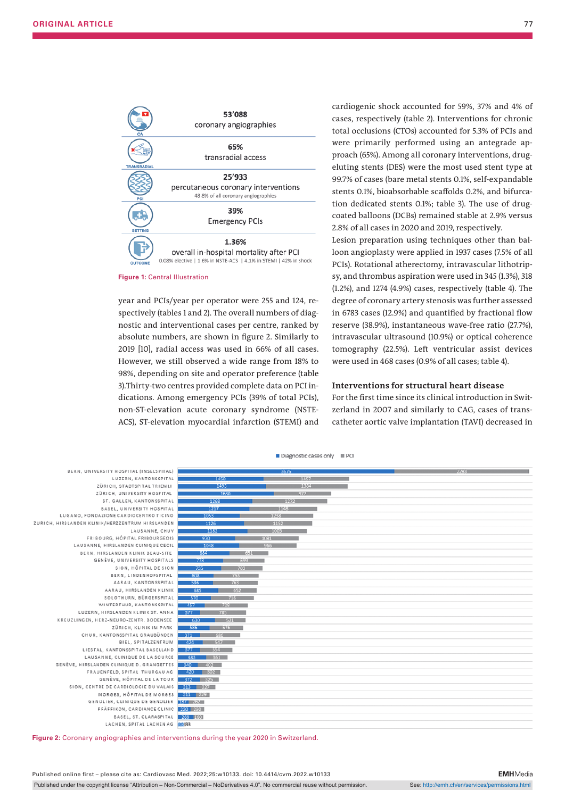

**Figure 1: Central Illustration** 

year and PCIs/year per operator were 255 and 124, respectively (tables 1 and 2). The overall numbers of diagnostic and interventional cases per centre, ranked by absolute numbers, are shown in figure 2. Similarly to 2019 [10], radial access was used in 66% of all cases. However, we still observed a wide range from 18% to 98%, depending on site and operator preference (table 3).Thirty-two centres provided complete data on PCI indications. Among emergency PCIs (39% of total PCIs), non-ST-elevation acute coronary syndrome (NSTE-ACS), ST-elevation myocardial infarction (STEMI) and

cardiogenic shock accounted for 59%, 37% and 4% of cases, respectively (table 2). Interventions for chronic total occlusions (CTOs) accounted for 5.3% of PCIs and were primarily performed using an antegrade approach (65%). Among all coronary interventions, drugeluting stents (DES) were the most used stent type at 99.7% of cases (bare metal stents 0.1%, self-expandable stents 0.1%, bioabsorbable scaffolds 0.2%, and bifurcation dedicated stents 0.1%; table 3). The use of drugcoated balloons (DCBs) remained stable at 2.9% versus 2.8% of all cases in 2020 and 2019, respectively.

Lesion preparation using techniques other than balloon angioplasty were applied in 1937 cases (7.5% of all PCIs). Rotational atherectomy, intravascular lithotripsy, and thrombus aspiration were used in 345 (1.3%), 318 (1.2%), and 1274 (4.9%) cases, respectively (table 4). The degree of coronary artery stenosis was further assessed in 6783 cases (12.9%) and quantified by fractional flow reserve (38.9%), instantaneous wave-free ratio (27.7%), intravascular ultrasound (10.9%) or optical coherence tomography (22.5%). Left ventricular assist devices were used in 468 cases (0.9% of all cases; table 4).

#### **Interventions for structural heart disease**

For the first time since its clinical introduction in Switzerland in 2007 and similarly to CAG, cases of transcatheter aortic valve implantation (TAVI) decreased in



**Figure 2:** Coronary angiographies and interventions during the year 2020 in Switzerland.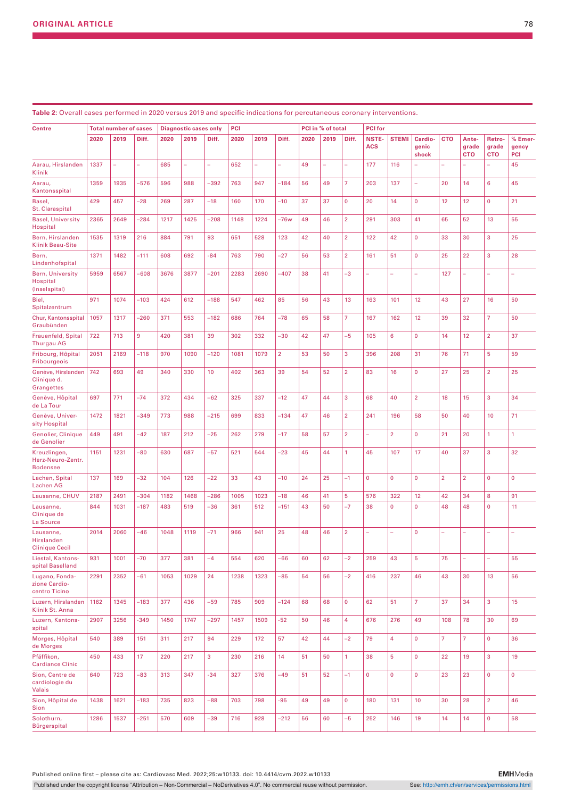| <b>Centre</b>                                        |      | <b>Total number of cases</b> |        |      | <b>Diagnostic cases only</b> |        | <b>PCI</b> |                          |                |      | PCI in % of total |                | <b>PCI</b> for |                |                |                |                     |                     |              |
|------------------------------------------------------|------|------------------------------|--------|------|------------------------------|--------|------------|--------------------------|----------------|------|-------------------|----------------|----------------|----------------|----------------|----------------|---------------------|---------------------|--------------|
|                                                      | 2020 | 2019                         | Diff.  | 2020 | 2019                         | Diff.  | 2020       | 2019                     | Diff.          | 2020 | 2019              | Diff.          | <b>NSTE-</b>   | <b>STEMI</b>   | Cardio-        | <b>CTO</b>     | Ante-               | Retro-              | % Emer-      |
|                                                      |      |                              |        |      |                              |        |            |                          |                |      |                   |                | <b>ACS</b>     |                | genic<br>shock |                | grade<br><b>CTO</b> | grade<br><b>CTO</b> | gency<br>PCI |
| Aarau, Hirslanden<br>Klinik                          | 1337 | ÷                            | ÷      | 685  | ÷,                           | ÷,     | 652        | $\overline{\phantom{0}}$ | ÷              | 49   | ÷,                | u,             | 177            | 116            |                |                |                     | ۳                   | 45           |
| Aarau,<br>Kantonsspital                              | 1359 | 1935                         | $-576$ | 596  | 988                          | -392   | 763        | 947                      | $-184$         | 56   | 49                | $\overline{7}$ | 203            | 137            | ÷,             | 20             | 14                  | 6                   | 45           |
| Basel,<br>St. Claraspital                            | 429  | 457                          | $-28$  | 269  | 287                          | $-18$  | 160        | 170                      | $-10$          | 37   | 37                | $\mathbf 0$    | 20             | 14             | $\mathbf 0$    | 12             | 12                  | $\pmb{0}$           | 21           |
| <b>Basel, University</b><br>Hospital                 | 2365 | 2649                         | $-284$ | 1217 | 1425                         | $-208$ | 1148       | 1224                     | –76w           | 49   | 46                | $\overline{2}$ | 291            | 303            | 41             | 65             | 52                  | 13                  | 55           |
| Bern, Hirslanden<br><b>Klinik Beau-Site</b>          | 1535 | 1319                         | 216    | 884  | 791                          | 93     | 651        | 528                      | 123            | 42   | 40                | $\overline{2}$ | 122            | 42             | $\mathbf 0$    | 33             | 30                  | 3                   | 25           |
| Bern,<br>Lindenhofspital                             | 1371 | 1482                         | $-111$ | 608  | 692                          | $-84$  | 763        | 790                      | $-27$          | 56   | 53                | $\overline{2}$ | 161            | 51             | $\mathbf 0$    | 25             | 22                  | 3                   | 28           |
| <b>Bern, University</b><br>Hospital<br>(Inselspital) | 5959 | 6567                         | $-608$ | 3676 | 3877                         | $-201$ | 2283       | 2690                     | $-407$         | 38   | 41                | $-3$           | ÷              | L,             | L.             | 127            | L,                  |                     |              |
| Biel,<br>Spitalzentrum                               | 971  | 1074                         | $-103$ | 424  | 612                          | $-188$ | 547        | 462                      | 85             | 56   | 43                | 13             | 163            | 101            | 12             | 43             | 27                  | 16                  | 50           |
| Chur, Kantonsspital<br>Graubünden                    | 1057 | 1317                         | $-260$ | 371  | 553                          | $-182$ | 686        | 764                      | $-78$          | 65   | 58                | $\overline{7}$ | 167            | 162            | 12             | 39             | 32                  | $\overline{7}$      | 50           |
| Frauenfeld, Spital<br><b>Thurgau AG</b>              | 722  | 713                          | 9      | 420  | 381                          | 39     | 302        | 332                      | $-30$          | 42   | 47                | $-5$           | 105            | 6              | $\mathbf 0$    | 14             | 12                  | $\overline{2}$      | 37           |
| Fribourg, Hôpital<br>Fribourgeois                    | 2051 | 2169                         | $-118$ | 970  | 1090                         | $-120$ | 1081       | 1079                     | $\overline{2}$ | 53   | 50                | 3              | 396            | 208            | 31             | 76             | 71                  | $\overline{5}$      | 59           |
| Genève, Hirslanden<br>Clinique d.<br>Grangettes      | 742  | 693                          | 49     | 340  | 330                          | 10     | 402        | 363                      | 39             | 54   | 52                | $\overline{2}$ | 83             | 16             | $\mathbf{0}$   | 27             | 25                  | $\overline{2}$      | 25           |
| Genève, Hôpital<br>de La Tour                        | 697  | 771                          | $-74$  | 372  | 434                          | $-62$  | 325        | 337                      | $-12$          | 47   | 44                | 3              | 68             | 40             | $\overline{2}$ | 18             | 15                  | 3                   | 34           |
| Genève, Univer-<br>sity Hospital                     | 1472 | 1821                         | $-349$ | 773  | 988                          | $-215$ | 699        | 833                      | $-134$         | 47   | 46                | $\overline{2}$ | 241            | 196            | 58             | 50             | 40                  | 10                  | 71           |
| Genolier, Clinique<br>de Genolier                    | 449  | 491                          | -42    | 187  | 212                          | -25    | 262        | 279                      | $-17$          | 58   | 57                | $\overline{2}$ | ÷,             | $\overline{2}$ | $\mathbf 0$    | 21             | 20                  | 1                   | 1            |
| Kreuzlingen,<br>Herz-Neuro-Zentr.<br><b>Bodensee</b> | 1151 | 1231                         | $-80$  | 630  | 687                          | $-57$  | 521        | 544                      | $-23$          | 45   | 44                | 1              | 45             | 107            | 17             | 40             | 37                  | 3                   | 32           |
| Lachen, Spital<br><b>Lachen AG</b>                   | 137  | 169                          | $-32$  | 104  | 126                          | $-22$  | 33         | 43                       | $-10$          | 24   | 25                | $-1$           | 0              | $\mathbf 0$    | $\mathbf 0$    | $\overline{2}$ | $\overline{2}$      | $\mathbf{0}$        | $\mathbf 0$  |
| Lausanne, CHUV                                       | 2187 | 2491                         | $-304$ | 1182 | 1468                         | -286   | 1005       | 1023                     | $-18$          | 46   | 41                | 5              | 576            | 322            | 12             | 42             | 34                  | 8                   | 91           |
| Lausanne,<br>Clinique de<br>La Source                | 844  | 1031                         | $-187$ | 483  | 519                          | $-36$  | 361        | 512                      | $-151$         | 43   | 50                | $-7$           | 38             | $\mathbf{0}$   | $\mathbf{0}$   | 48             | 48                  | $\mathbf 0$         | 11           |
| Lausanne,<br>Hirslanden<br><b>Clinique Cecil</b>     | 2014 | 2060                         | -46    | 1048 | 1119                         | $-71$  | 966        | 941                      | 25             | 48   | 46                | $\overline{2}$ |                |                | $\mathbf 0$    | ÷              |                     |                     |              |
| Liestal, Kantons-<br>spital Baselland                | 931  | 1001                         | $-70$  | 377  | 381                          | $-4$   | 554        | 620                      | $-66$          | 60   | 62                | $-2$           | 259            | 43             | $\overline{5}$ | 75             | ÷.                  | L,                  | 55           |
| Lugano, Fonda-<br>zione Cardio-<br>centro Ticino     | 2291 | 2352                         | $-61$  | 1053 | 1029                         | 24     | 1238       | 1323                     | $-85$          | 54   | 56                | $-2$           | 416            | 237            | 46             | 43             | 30                  | 13                  | 56           |
| Luzern, Hirslanden<br>Klinik St. Anna                | 1162 | 1345                         | $-183$ | 377  | 436                          | $-59$  | 785        | 909                      | $-124$         | 68   | 68                | $\mathbf 0$    | 62             | 51             | $\overline{7}$ | 37             | 34                  | 3                   | 15           |
| Luzern, Kantons-<br>spital                           | 2907 | 3256                         | $-349$ | 1450 | 1747                         | $-297$ | 1457       | 1509                     | $-52$          | 50   | 46                | $\overline{4}$ | 676            | 276            | 49             | 108            | 78                  | 30                  | 69           |
| Morges, Hôpital<br>de Morges                         | 540  | 389                          | 151    | 311  | 217                          | 94     | 229        | 172                      | 57             | 42   | 44                | $-2$           | 79             | $\overline{4}$ | $\mathbf 0$    | $\overline{7}$ | $\overline{7}$      | $\mathbf 0$         | 36           |
| Pfäffikon,<br><b>Cardiance Clinic</b>                | 450  | 433                          | 17     | 220  | 217                          | 3      | 230        | 216                      | 14             | 51   | 50                | $\mathbf{1}$   | 38             | 5              | $\mathbf 0$    | 22             | 19                  | 3                   | 19           |
| Sion, Centre de<br>cardiologie du<br>Valais          | 640  | 723                          | $-83$  | 313  | 347                          | $-34$  | 327        | 376                      | $-49$          | 51   | 52                | $-1$           | $\mathbf{0}$   | $\mathbf{0}$   | $\mathbf{0}$   | 23             | 23                  | $\mathbf{0}$        | $\mathbf 0$  |
| Sion, Hôpital de<br>Sion                             | 1438 | 1621                         | $-183$ | 735  | 823                          | $-88$  | 703        | 798                      | $-95$          | 49   | 49                | $\mathbf 0$    | 180            | 131            | 10             | 30             | 28                  | $\overline{2}$      | 46           |
| Solothurn,<br>Bürgerspital                           | 1286 | 1537                         | $-251$ | 570  | 609                          | $-39$  | 716        | 928                      | $-212$         | 56   | 60                | $-5$           | 252            | 146            | 19             | 14             | 14                  | $\mathbf 0$         | 58           |

**Table 2:** Overall cases performed in 2020 versus 2019 and specific indications for percutaneous coronary interventions.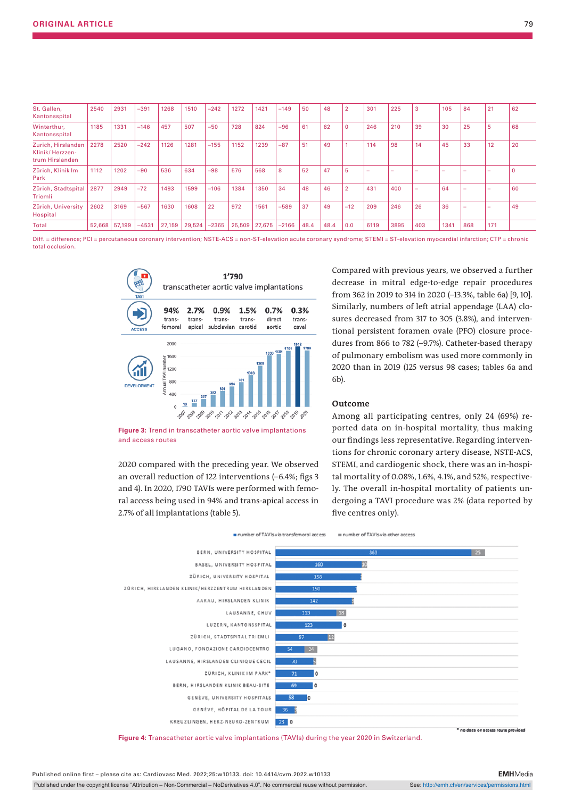| St. Gallen,<br>Kantonsspital                             | 2540   | 2931   | $-391$  | 1268   | 1510   | $-242$  | 1272   | 1421   | $-149$  | 50   | 48   | $\overline{2}$ | 301  | 225  | -3                       | 105  | 84                       | 21  | 62          |
|----------------------------------------------------------|--------|--------|---------|--------|--------|---------|--------|--------|---------|------|------|----------------|------|------|--------------------------|------|--------------------------|-----|-------------|
| Winterthur,<br>Kantonsspital                             | 1185   | 1331   | $-146$  | 457    | 507    | $-50$   | 728    | 824    | $-96$   | 61   | 62   | $\Omega$       | 246  | 210  | 39                       | 30   | 25                       | 5   | 68          |
| Zurich, Hirslanden<br>Klinik/Herzzen-<br>trum Hirslanden | 2278   | 2520   | $-242$  | 1126   | 1281   | $-155$  | 1152   | 1239   | $-87$   | 51   | 49   |                | 114  | 98   | 14                       | 45   | 33                       | 12  | 20          |
| Zürich, Klinik Im<br>Park                                | 1112   | 1202   | $-90$   | 536    | 634    | $-98$   | 576    | 568    | 8       | 52   | 47   | 5              | -    |      |                          | -    |                          | -   | $\mathbf 0$ |
| Zürich, Stadtspital<br>Triemli                           | 2877   | 2949   | $-72$   | 1493   | 1599   | $-106$  | 1384   | 1350   | 34      | 48   | 46   | $\overline{2}$ | 431  | 400  | $\overline{\phantom{a}}$ | 64   | $\overline{\phantom{a}}$ | -   | 60          |
| Zürich, University<br>Hospital                           | 2602   | 3169   | $-567$  | 1630   | 1608   | 22      | 972    | 1561   | $-589$  | 37   | 49   | $-12$          | 209  | 246  | 26                       | 36   |                          | -   | 49          |
| Total                                                    | 52,668 | 57,199 | $-4531$ | 27,159 | 29,524 | $-2365$ | 25,509 | 27,675 | $-2166$ | 48.4 | 48.4 | 0.0            | 6119 | 3895 | 403                      | 1341 | 868                      | 171 |             |

Diff. = difference; PCI = percutaneous coronary intervention; NSTE-ACS = non-ST-elevation acute coronary syndrome; STEMI = ST-elevation myocardial infarction; CTP = chronic total occlusion.



**Figure 3:** Trend in transcatheter aortic valve implantations and access routes

2020 compared with the preceding year. We observed an overall reduction of 122 interventions (–6.4%; figs 3 and 4). In 2020, 1790 TAVIs were performed with femoral access being used in 94% and trans-apical access in 2.7% of all implantations (table 5).

Compared with previous years, we observed a further decrease in mitral edge-to-edge repair procedures from 362 in 2019 to 314 in 2020 (–13.3%, table 6a) [9, 10]. Similarly, numbers of left atrial appendage (LAA) closures decreased from 317 to 305 (3.8%), and interventional persistent foramen ovale (PFO) closure procedures from 866 to 782 (–9.7%). Catheter-based therapy of pulmonary embolism was used more commonly in 2020 than in 2019 (125 versus 98 cases; tables 6a and 6b).

#### **Outcome**

Among all participating centres, only 24 (69%) reported data on in-hospital mortality, thus making our findings less representative. Regarding interventions for chronic coronary artery disease, NSTE-ACS, STEMI, and cardiogenic shock, there was an in-hospital mortality of 0.08%, 1.6%, 4.1%, and 52%, respectively. The overall in-hospital mortality of patients undergoing a TAVI procedure was 2% (data reported by five centres only).



**Figure 4:** Transcatheter aortic valve implantations (TAVIs) during the year 2020 in Switzerland.

Published online first – please cite as: Cardiovasc Med. 2022;25:w10133. doi: 10.4414/cvm.2022.w10133

Published under the copyright license "Attribution – Non-Commercial – NoDerivatives 4.0". No commercial reuse without permission. See: http://emh.ch/en/services/permissions.html

**EMH**Media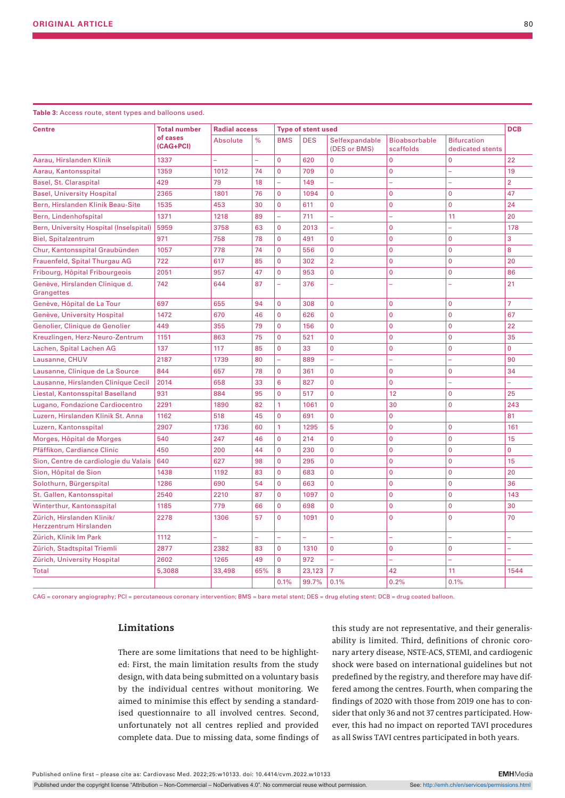| <b>Centre</b>                                        | <b>Total number</b>   | <b>Radial access</b>    |                |                | <b>DCB</b>                              |                                |                                   |                                        |                |
|------------------------------------------------------|-----------------------|-------------------------|----------------|----------------|-----------------------------------------|--------------------------------|-----------------------------------|----------------------------------------|----------------|
|                                                      | of cases<br>(CAG+PCI) | $\%$<br><b>Absolute</b> |                | <b>BMS</b>     | <b>Type of stent used</b><br><b>DES</b> | Selfexpandable<br>(DES or BMS) | <b>Bioabsorbable</b><br>scaffolds | <b>Bifurcation</b><br>dedicated stents |                |
| Aarau, Hirslanden Klinik                             | 1337                  |                         | $\overline{a}$ | $\overline{0}$ | 620                                     | $\overline{0}$                 | $\overline{0}$                    | $\overline{0}$                         | 22             |
| Aarau, Kantonsspital                                 | 1359                  | 1012                    | 74             | $\mathbf{0}$   | 709                                     | $\mathbf 0$                    | 0                                 | ÷                                      | 19             |
| Basel, St. Claraspital                               | 429                   | 79                      | 18             | ÷,             | 149                                     | L,                             | ÷                                 | L,                                     | $\overline{2}$ |
| <b>Basel, University Hospital</b>                    | 2365                  | 1801                    | 76             | 0              | 1094                                    | $\mathbf{0}$                   | $\overline{0}$                    | $\mathbf 0$                            | 47             |
| Bern, Hirslanden Klinik Beau-Site                    | 1535                  | 453                     | 30             | $\overline{0}$ | 611                                     | $\mathbf 0$                    | $\mathbf 0$                       | $\mathbf 0$                            | 24             |
| Bern, Lindenhofspital                                | 1371                  | 1218                    | 89             | L.             | 711                                     | L.                             |                                   | 11                                     | 20             |
| Bern, University Hospital (Inselspital)              | 5959                  | 3758                    | 63             | 0              | 2013                                    | L,                             | $\mathbf 0$                       | ÷                                      | 178            |
| <b>Biel, Spitalzentrum</b>                           | 971                   | 758                     | 78             | $\Omega$       | 491                                     | $\mathbf{0}$                   | $\overline{0}$                    | $\Omega$                               | 3              |
| Chur, Kantonsspital Graubünden                       | 1057                  | 778                     | 74             | $\overline{0}$ | 556                                     | $\mathbf{0}$                   | $\overline{0}$                    | $\Omega$                               | 8              |
| Frauenfeld, Spital Thurgau AG                        | 722                   | 617                     | 85             | $\overline{0}$ | 302                                     | $\overline{2}$                 | $\mathbf 0$                       | $\Omega$                               | 20             |
| Fribourg, Hôpital Fribourgeois                       | 2051                  | 957                     | 47             | $\overline{0}$ | 953                                     | $\Omega$                       | 0                                 | $\Omega$                               | 86             |
| Genève, Hirslanden Clinique d.<br>Grangettes         | 742                   | 644                     | 87             | ÷,             | 376                                     | L.                             | ۳                                 | $\equiv$                               | 21             |
| Genève, Hôpital de La Tour                           | 697                   | 655                     | 94             | 0              | 308                                     | $\mathbf 0$                    | 0                                 | $\mathbf 0$                            | $\overline{7}$ |
| Genève, University Hospital                          | 1472                  | 670                     | 46             | 0              | 626                                     | $\mathbf{0}$                   | 0                                 | $\mathbf 0$                            | 67             |
| Genolier, Clinique de Genolier                       | 449                   | 355                     | 79             | 0              | 156                                     | $\mathbf 0$                    | $\mathbf 0$                       | $\mathbf 0$                            | 22             |
| Kreuzlingen, Herz-Neuro-Zentrum                      | 1151                  | 863                     | 75             | 0              | 521                                     | $\mathbf 0$                    | $\mathbf 0$                       | $\mathbf 0$                            | 35             |
| Lachen, Spital Lachen AG                             | 137                   | 117                     | 85             | 0              | 33                                      | $\mathbf 0$                    | $\mathbf 0$                       | $\mathbf 0$                            | $\Omega$       |
| Lausanne, CHUV                                       | 2187                  | 1739                    | 80             | L,             | 889                                     | L.                             | L                                 | L.                                     | 90             |
| Lausanne, Clinique de La Source                      | 844                   | 657                     | 78             | $\overline{0}$ | 361                                     | $\mathbf{0}$                   | $\mathbf 0$                       | $\mathbf 0$                            | 34             |
| Lausanne, Hirslanden Clinique Cecil                  | 2014                  | 658                     | 33             | 6              | 827                                     | $\Omega$                       | $\overline{0}$                    | L,                                     |                |
| Liestal, Kantonsspital Baselland                     | 931                   | 884                     | 95             | $\overline{0}$ | 517                                     | $\mathbf 0$                    | 12                                | $\mathbf 0$                            | 25             |
| Lugano, Fondazione Cardiocentro                      | 2291                  | 1890                    | 82             | 1              | 1061                                    | $\Omega$                       | 30                                | $\Omega$                               | 243            |
| Luzern, Hirslanden Klinik St. Anna                   | 1162                  | 518                     | 45             | $\Omega$       | 691                                     | $\mathbf 0$                    | 0                                 |                                        | 81             |
| Luzern, Kantonsspital                                | 2907                  | 1736                    | 60             | 1              | 1295                                    | 5                              | $\overline{0}$                    | $\mathbf 0$                            | 161            |
| Morges, Hôpital de Morges                            | 540                   | 247                     | 46             | $\overline{0}$ | 214                                     | $\mathbf{0}$                   | $\mathbf 0$                       | $\overline{0}$                         | 15             |
| Pfäffikon, Cardiance Clinic                          | 450                   | 200                     | 44             | 0              | 230                                     | $\mathbf 0$                    | $\overline{0}$                    | $\overline{0}$                         | $\mathbf 0$    |
| Sion, Centre de cardiologie du Valais                | 640                   | 627                     | 98             | 0              | 295                                     | $\mathbf 0$                    | $\overline{0}$                    | $\mathbf 0$                            | 15             |
| Sion, Hôpital de Sion                                | 1438                  | 1192                    | 83             | 0              | 683                                     | $\mathbf{0}$                   | $\mathbf 0$                       | $\mathbf 0$                            | 20             |
| Solothurn, Bürgerspital                              | 1286                  | 690                     | 54             | 0              | 663                                     | $\mathbf 0$                    | $\overline{0}$                    | $\mathbf 0$                            | 36             |
| St. Gallen, Kantonsspital                            | 2540                  | 2210                    | 87             | 0              | 1097                                    | $\mathbf 0$                    | $\overline{0}$                    | $\overline{0}$                         | 143            |
| Winterthur, Kantonsspital                            | 1185                  | 779                     | 66             | 0              | 698                                     | $\mathbf 0$                    | $\overline{0}$                    | $\overline{0}$                         | 30             |
| Zürich, Hirslanden Klinik/<br>Herzzentrum Hirslanden | 2278                  | 1306                    | 57             | 0              | 1091                                    | $\mathbf 0$                    | $\overline{0}$                    | $\overline{0}$                         | 70             |
| Zürich, Klinik Im Park                               | 1112                  |                         |                | L.             |                                         |                                | L,                                | L.                                     |                |
| Zürich, Stadtspital Triemli                          | 2877                  | 2382                    | 83             | $\Omega$       | 1310                                    | $\mathbf 0$                    | 0                                 | $\mathbf 0$                            |                |
| Zürich, University Hospital                          | 2602                  | 1265                    | 49             | $\Omega$       | 972                                     | L,                             | L,                                | L.                                     |                |
| <b>Total</b>                                         | 5,3088                | 33,498                  | 65%            | 8              | 23,123                                  | $\overline{7}$                 | 42                                | 11                                     | 1544           |
|                                                      |                       |                         |                | 0.1%           | 99.7%                                   | 0.1%                           | 0.2%                              | 0.1%                                   |                |

CAG = coronary angiography; PCI = percutaneous coronary intervention; BMS = bare metal stent; DES = drug eluting stent; DCB = drug coated balloon.

## **Limitations**

There are some limitations that need to be highlighted: First, the main limitation results from the study design, with data being submitted on a voluntary basis by the individual centres without monitoring. We aimed to minimise this effect by sending a standardised questionnaire to all involved centres. Second, unfortunately not all centres replied and provided complete data. Due to missing data, some findings of this study are not representative, and their generalisability is limited. Third, definitions of chronic coronary artery disease, NSTE-ACS, STEMI, and cardiogenic shock were based on international guidelines but not predefined by the registry, and therefore may have differed among the centres. Fourth, when comparing the findings of 2020 with those from 2019 one has to consider that only 36 and not 37 centres participated. However, this had no impact on reported TAVI procedures as all Swiss TAVI centres participated in both years.

**EMH**Media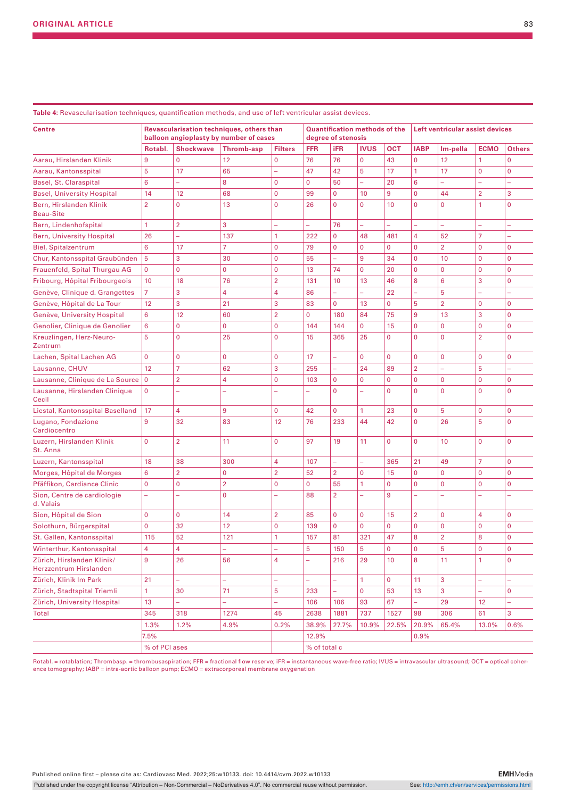| <b>Centre</b>                                        |                |                  | Revascularisation techniques, others than<br>balloon angioplasty by number of cases |                |              | degree of stenosis | <b>Quantification methods of the</b> |              | Left ventricular assist devices |                |                |               |
|------------------------------------------------------|----------------|------------------|-------------------------------------------------------------------------------------|----------------|--------------|--------------------|--------------------------------------|--------------|---------------------------------|----------------|----------------|---------------|
|                                                      | Rotabl.        | <b>Shockwave</b> | <b>Thromb-asp</b>                                                                   | <b>Filters</b> | <b>FFR</b>   | iFR                | <b>IVUS</b>                          | <b>OCT</b>   | <b>IABP</b>                     | Im-pella       | <b>ECMO</b>    | <b>Others</b> |
| Aarau, Hirslanden Klinik                             | 9              | $\mathbf{0}$     | 12                                                                                  | $\mathbf 0$    | 76           | 76                 | $\mathbf 0$                          | 43           | $\mathbf 0$                     | 12             | 1              | $\Omega$      |
| Aarau, Kantonsspital                                 | 5              | 17               | 65                                                                                  | $\overline{a}$ | 47           | 42                 | 5                                    | 17           | $\mathbf{1}$                    | 17             | $\mathbf 0$    | $\mathbf 0$   |
| Basel, St. Claraspital                               | 6              |                  | 8                                                                                   | $\mathbf 0$    | $\mathbf{0}$ | 50                 |                                      | 20           | 6                               |                |                |               |
| <b>Basel, University Hospital</b>                    | 14             | 12               | 68                                                                                  | $\mathbf 0$    | 99           | $\mathbf 0$        | 10                                   | 9            | $\mathbf 0$                     | 44             | $\overline{2}$ | 3             |
| Bern, Hirslanden Klinik<br><b>Beau-Site</b>          | $\overline{2}$ | $\Omega$         | 13                                                                                  | $\mathbf 0$    | 26           | $\Omega$           | $\Omega$                             | 10           | $\Omega$                        | $\mathbf{0}$   | 1              | $\Omega$      |
| Bern, Lindenhofspital                                | 1              | $\overline{2}$   | 3                                                                                   | ÷,             | ÷,           | 76                 | ÷,                                   |              |                                 | ÷,             | L,             |               |
| <b>Bern, University Hospital</b>                     | 26             | ÷.               | 137                                                                                 | 1              | 222          | $\mathbf 0$        | 48                                   | 481          | 4                               | 52             | 7              | ÷,            |
| <b>Biel, Spitalzentrum</b>                           | 6              | 17               | 7                                                                                   | $\mathbf 0$    | 79           | $\mathbf 0$        | $\mathbf 0$                          | $\mathbf 0$  | $\mathbf 0$                     | $\overline{2}$ | 0              | 0             |
| Chur, Kantonsspital Graubünden                       | 5              | 3                | 30                                                                                  | $\mathbf 0$    | 55           |                    | 9                                    | 34           | $\mathbf 0$                     | 10             | 0              | 0             |
| Frauenfeld, Spital Thurgau AG                        | 0              | $\mathbf{0}$     | $\mathbf{0}$                                                                        | $\mathbf 0$    | 13           | 74                 | $\mathbf 0$                          | 20           | $\mathbf 0$                     | $\mathbf 0$    | $\mathbf 0$    | $\mathbf 0$   |
| Fribourg, Hôpital Fribourgeois                       | 10             | 18               | 76                                                                                  | $\overline{2}$ | 131          | 10                 | 13                                   | 46           | 8                               | 6              | 3              | $\mathbf 0$   |
| Genève, Clinique d. Grangettes                       | $\overline{7}$ | 3                | 4                                                                                   | 4              | 86           | L,                 |                                      | 22           | -                               | 5              |                | ÷,            |
| Genève, Hôpital de La Tour                           | 12             | 3                | 21                                                                                  | 3              | 83           | $\mathbf 0$        | 13                                   | $\mathbf 0$  | 5                               | $\overline{2}$ | 0              | 0             |
| Genève, University Hospital                          | 6              | 12               | 60                                                                                  | $\overline{2}$ | $\mathbf 0$  | 180                | 84                                   | 75           | 9                               | 13             | 3              | 0             |
| Genolier, Clinique de Genolier                       | 6              | $\mathbf{0}$     | 0                                                                                   | $\mathbf 0$    | 144          | 144                | $\mathbf 0$                          | 15           | $\mathbf 0$                     | $\mathbf 0$    | $\mathbf 0$    | $\mathbf 0$   |
| Kreuzlingen, Herz-Neuro-<br>Zentrum                  | 5              | $\Omega$         | 25                                                                                  | $\mathbf 0$    | 15           | 365                | 25                                   | $\mathbf 0$  | $\mathbf 0$                     | $\mathbf 0$    | $\overline{2}$ | 0             |
| Lachen, Spital Lachen AG                             | 0              | $\mathbf{0}$     | 0                                                                                   | $\pmb{0}$      | 17           | ÷,                 | $\mathbf 0$                          | $\mathbf 0$  | $\mathbf 0$                     | $\mathbf 0$    | $\mathbf 0$    | $\mathbf 0$   |
| Lausanne, CHUV                                       | 12             | $\overline{7}$   | 62                                                                                  | 3              | 255          | ÷,                 | 24                                   | 89           | $\overline{2}$                  | L.             | 5              | L.            |
| Lausanne, Clinique de La Source                      | $\mathbf 0$    | $\overline{2}$   | 4                                                                                   | $\mathbf 0$    | 103          | $\mathbf 0$        | $\mathbf 0$                          | $\mathbf{0}$ | $\mathbf 0$                     | $\mathbf 0$    | $\mathbf 0$    | $\mathbf 0$   |
| Lausanne, Hirslanden Clinique<br>Cecil               | 0              | L,               | -                                                                                   | L,             |              | $\mathbf 0$        |                                      | $\mathbf 0$  | $\mathbf 0$                     | $\Omega$       | 0              | $\mathbf 0$   |
| Liestal, Kantonsspital Baselland                     | 17             | 4                | 9                                                                                   | $\mathbf 0$    | 42           | $\mathbf 0$        | $\mathbf{1}$                         | 23           | $\mathbf 0$                     | 5              | $\mathbf 0$    | 0             |
| Lugano, Fondazione<br>Cardiocentro                   | 9              | 32               | 83                                                                                  | 12             | 76           | 233                | 44                                   | 42           | $\mathbf 0$                     | 26             | 5              | $\mathbf 0$   |
| Luzern, Hirslanden Klinik<br>St. Anna                | 0              | $\overline{2}$   | 11                                                                                  | $\mathbf 0$    | 97           | 19                 | 11                                   | $\mathbf 0$  | $\mathbf 0$                     | 10             | $\mathbf 0$    | $\mathbf 0$   |
| Luzern, Kantonsspital                                | 18             | 38               | 300                                                                                 | 4              | 107          |                    | L.                                   | 365          | 21                              | 49             | 7              | $\mathbf 0$   |
| Morges, Hôpital de Morges                            | 6              | $\overline{2}$   | 0                                                                                   | $\overline{2}$ | 52           | $\overline{2}$     | $\mathbf 0$                          | 15           | $\mathbf 0$                     | $\mathbf{0}$   | 0              | $\mathbf 0$   |
| Pfäffikon, Cardiance Clinic                          | 0              | $\mathbf{0}$     | $\overline{2}$                                                                      | $\mathbf 0$    | $\mathbf{0}$ | 55                 | 1                                    | $\mathbf{0}$ | $\mathbf 0$                     | $\mathbf 0$    | 0              | 0             |
| Sion, Centre de cardiologie<br>d. Valais             | L              |                  | $\mathbf 0$                                                                         |                | 88           | $\overline{2}$     |                                      | 9            |                                 |                |                |               |
| Sion, Hôpital de Sion                                | $\overline{0}$ | $\mathbf{0}$     | 14                                                                                  | $\overline{2}$ | 85           | $\mathbf 0$        | $\mathbf 0$                          | 15           | $\overline{2}$                  | $\mathbf 0$    | 4              | $\mathbf 0$   |
| Solothurn, Bürgerspital                              | 0              | 32               | 12                                                                                  | $\mathbf 0$    | 139          | $\mathbf 0$        | $\mathbf 0$                          | $\mathbf{0}$ | $\mathbf 0$                     | $\mathbf 0$    | 0              | $\mathbf 0$   |
| St. Gallen, Kantonsspital                            | 115            | 52               | 121                                                                                 | $\mathbf{1}$   | 157          | 81                 | 321                                  | 47           | 8                               | $\overline{2}$ | 8              | $\Omega$      |
| Winterthur, Kantonsspital                            | 4              | 4                | ÷                                                                                   | -              | 5            | 150                | 5                                    | $\pmb{0}$    | $\mathbf 0$                     | 5              | $\mathbf 0$    | $\mathbf 0$   |
| Zürich, Hirslanden Klinik/<br>Herzzentrum Hirslanden | 9              | 26               | 56                                                                                  | 4              | ÷            | 216                | 29                                   | 10           | 8                               | 11             | 1              | $\mathbf 0$   |
| Zürich, Klinik Im Park                               | 21             | ÷,               | ÷,                                                                                  | ÷,             | ä,           | ÷.                 | $\mathbf{1}$                         | $\mathbf 0$  | 11                              | 3              | ÷,             | ÷,            |
| Zürich, Stadtspital Triemli                          | $\mathbf{1}$   | 30               | 71                                                                                  | 5              | 233          | ÷.                 | $\mathbf{0}$                         | 53           | 13                              | 3              | ÷,             | $\mathbf 0$   |
| Zürich, University Hospital                          | 13             | ÷.               | ÷.                                                                                  | ÷,             | 106          | 106                | 93                                   | 67           | ÷,                              | 29             | 12             | ÷             |
| Total                                                | 345            | 318              | 1274                                                                                | 45             | 2638         | 1881               | 737                                  | 1527         | 98                              | 306            | 61             | 3             |
|                                                      | 1.3%           | 1.2%             | 4.9%                                                                                | 0.2%           | 38.9%        | 27.7%              | 10.9%                                | 22.5%        | 20.9%                           | 65.4%          | 13.0%          | 0.6%          |
|                                                      | 7.5%           |                  |                                                                                     |                | 12.9%        |                    |                                      |              | 0.9%                            |                |                |               |
| % of PCI ases                                        |                |                  |                                                                                     |                | % of total c |                    |                                      |              |                                 |                |                |               |

**Table 4:** Revascularisation techniques, quantification methods, and use of left ventricular assist devices.

Rotabl. = rotablation; Thrombasp. = thrombusaspiration; FFR = fractional flow reserve; iFR = instantaneous wave-free ratio; IVUS = intravascular ultrasound; OCT = optical coherence tomography; IABP = intra-aortic balloon pump; ECMO = extracorporeal membrane oxygenation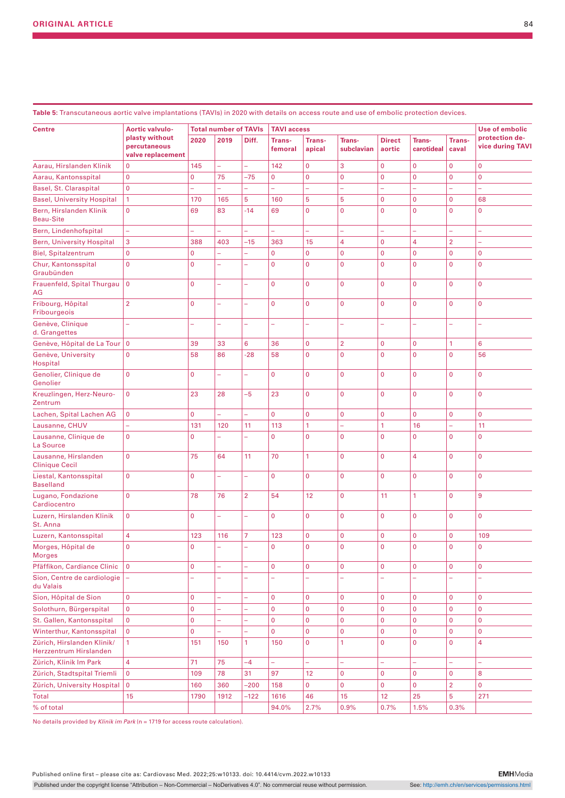**Table 5:** Transcutaneous aortic valve implantations (TAVIs) in 2020 with details on access route and use of embolic protection devices.

|                                                      | <b>Aortic valvulo-</b>            | <b>Total number of TAVIs</b> |                          |                          | <b>TAVI access</b> | <b>Use of embolic</b> |                |                |                |                |                  |
|------------------------------------------------------|-----------------------------------|------------------------------|--------------------------|--------------------------|--------------------|-----------------------|----------------|----------------|----------------|----------------|------------------|
| <b>Centre</b>                                        | plasty without                    | 2020                         | 2019                     | Diff.                    | Trans-             | <b>Trans-</b>         | <b>Trans-</b>  | <b>Direct</b>  | <b>Trans-</b>  | Trans-         | protection de-   |
|                                                      | percutaneous<br>valve replacement |                              |                          |                          | femoral            | apical                | subclavian     | aortic         | carotideal     | caval          | vice during TAVI |
| Aarau, Hirslanden Klinik                             | $\overline{0}$                    | 145                          | L.                       | ÷,                       | 142                | $\overline{0}$        | 3              | $\mathbf 0$    | $\overline{0}$ | $\overline{0}$ | $\overline{0}$   |
| Aarau, Kantonsspital                                 | $\overline{0}$                    | $\overline{0}$               | 75                       | $-75$                    | $\overline{0}$     | $\overline{0}$        | $\mathbf 0$    | $\mathbf 0$    | $\mathbf{0}$   | $\mathbf 0$    | $\overline{0}$   |
| Basel, St. Claraspital                               | $\overline{0}$                    | $\overline{\phantom{0}}$     | $\overline{\phantom{0}}$ | L,                       | ÷,                 | ÷,                    | ÷              | ÷              | ÷,             | ÷,             | ÷,               |
| <b>Basel, University Hospital</b>                    | 1                                 | 170                          | 165                      | 5                        | 160                | 5                     | 5              | $\mathbf 0$    | $\overline{0}$ | $\overline{0}$ | 68               |
| Bern, Hirslanden Klinik<br><b>Beau-Site</b>          | $\mathbf 0$                       | 69                           | 83                       | $-14$                    | 69                 | $\overline{0}$        | $\mathbf 0$    | $\mathbf{0}$   | $\overline{0}$ | $\overline{0}$ | $\mathbf 0$      |
| Bern, Lindenhofspital                                | L,                                |                              |                          |                          | L                  | ÷,                    | ÷,             | ÷,             | L.             | L              | L.               |
| <b>Bern, University Hospital</b>                     | 3                                 | 388                          | 403                      | $-15$                    | 363                | 15                    | $\overline{4}$ | $\mathbf 0$    | 4              | $\overline{2}$ | L.               |
| <b>Biel, Spitalzentrum</b>                           | $\mathbf 0$                       | $\mathbf 0$                  | L,                       | L,                       | $\overline{0}$     | $\mathbf 0$           | $\mathbf 0$    | $\mathbf 0$    | $\overline{0}$ | $\overline{0}$ | $\overline{0}$   |
| Chur, Kantonsspital<br>Graubünden                    | $\mathbf 0$                       | $\overline{0}$               | ÷,                       | L,                       | $\overline{0}$     | $\mathbf 0$           | $\overline{0}$ | 0              | $\overline{0}$ | $\overline{0}$ | $\overline{0}$   |
| Frauenfeld, Spital Thurgau<br>AG                     | $\overline{0}$                    | $\overline{0}$               | L,                       | L,                       | $\overline{0}$     | $\overline{0}$        | $\overline{0}$ | $\mathbf{0}$   | $\overline{0}$ | $\overline{0}$ | $\overline{0}$   |
| Fribourg, Hôpital<br>Fribourgeois                    | $\overline{2}$                    | $\overline{0}$               | L,                       | L,                       | $\overline{0}$     | $\overline{0}$        | $\overline{0}$ | $\overline{0}$ | $\overline{0}$ | $\overline{0}$ | $\overline{0}$   |
| Genève, Clinique<br>d. Grangettes                    | ÷,                                | ÷,                           | -                        | ÷,                       | L,                 | ÷,                    | ÷,             | ÷,             | ÷,             | L              | L.               |
| Genève, Hôpital de La Tour                           | $\overline{0}$                    | 39                           | 33                       | 6                        | 36                 | $\mathbf 0$           | $\overline{2}$ | $\mathbf{0}$   | $\mathbf 0$    | $\mathbf{1}$   | 6                |
| Genève, University<br>Hospital                       | 0                                 | 58                           | 86                       | $-28$                    | 58                 | $\overline{0}$        | $\mathbf 0$    | 0              | $\overline{0}$ | $\overline{0}$ | 56               |
| Genolier, Clinique de<br>Genolier                    | $\overline{0}$                    | $\mathbf 0$                  | ÷,                       | L,                       | $\overline{0}$     | $\overline{0}$        | $\mathbf{0}$   | $\mathbf 0$    | $\overline{0}$ | $\overline{0}$ | $\mathbf 0$      |
| Kreuzlingen, Herz-Neuro-<br>Zentrum                  | $\mathbf 0$                       | 23                           | 28                       | $-5$                     | 23                 | $\overline{0}$        | $\overline{0}$ | $\overline{0}$ | $\overline{0}$ | $\overline{0}$ | $\overline{0}$   |
| Lachen, Spital Lachen AG                             | $\mathbf 0$                       | $\overline{0}$               | L,                       | $\overline{\phantom{a}}$ | $\overline{0}$     | $\overline{0}$        | $\mathbf{0}$   | $\mathbf 0$    | $\overline{0}$ | $\overline{0}$ | $\overline{0}$   |
| Lausanne, CHUV                                       | ÷,                                | 131                          | 120                      | 11                       | 113                | $\mathbf{1}$          | ÷,             | 1              | 16             | -              | 11               |
| Lausanne, Clinique de<br>La Source                   | $\mathbf{0}$                      | $\mathbf 0$                  |                          | L,                       | 0                  | $\mathbf 0$           | $\mathbf{0}$   | $\mathbf 0$    | 0              | $\mathbf 0$    | $\mathbf 0$      |
| Lausanne, Hirslanden<br><b>Clinique Cecil</b>        | $\overline{0}$                    | 75                           | 64                       | 11                       | 70                 | $\mathbf{1}$          | $\overline{0}$ | $\mathbf{0}$   | 4              | $\overline{0}$ | $\overline{0}$   |
| Liestal, Kantonsspital<br><b>Baselland</b>           | $\overline{0}$                    | $\Omega$                     | L,                       | $\overline{\phantom{a}}$ | $\overline{0}$     | $\Omega$              | $\overline{0}$ | $\Omega$       | $\overline{0}$ | $\mathbf{0}$   | $\overline{0}$   |
| Lugano, Fondazione<br>Cardiocentro                   | $\overline{0}$                    | 78                           | 76                       | $\overline{2}$           | 54                 | 12                    | $\overline{0}$ | 11             | $\mathbf{1}$   | $\mathbf{0}$   | 9                |
| Luzern, Hirslanden Klinik<br>St. Anna                | $\mathbf{0}$                      | $\mathbf 0$                  | -                        | ÷,                       | $\overline{0}$     | $\overline{0}$        | $\overline{0}$ | $\mathbf{0}$   | $\overline{0}$ | $\overline{0}$ | $\overline{0}$   |
| Luzern, Kantonsspital                                | 4                                 | 123                          | 116                      | $\overline{7}$           | 123                | $\overline{0}$        | $\overline{0}$ | $\mathbf{0}$   | $\overline{0}$ | $\overline{0}$ | 109              |
| Morges, Hôpital de<br><b>Morges</b>                  | 0                                 | 0                            |                          | ÷,                       | 0                  | 0                     | $\mathbf 0$    | $\mathbf 0$    | 0              | $\mathbf 0$    | 0                |
| Pfäffikon, Cardiance Clinic                          | $\mathbf{0}$                      | $\mathbf 0$                  | -                        | ÷,                       | 0                  | $\mathbf 0$           | $\pmb{0}$      | $\mathbf 0$    | $\mathbf 0$    | $\mathbf{0}$   | 0                |
| Sion, Centre de cardiologie<br>du Valais             | $\overline{\phantom{a}}$          | ÷,                           | ÷,                       | L,                       | -                  | ÷                     | ÷              | ÷              | ÷              |                | ÷                |
| Sion, Hôpital de Sion                                | $\mathbf 0$                       | $\mathbf 0$                  | ÷,                       | L,                       | $\mathbf 0$        | $\mathbf 0$           | $\mathbf 0$    | $\mathbf 0$    | $\overline{0}$ | $\mathbf{0}$   | $\mathbf 0$      |
| Solothurn, Bürgerspital                              | $\mathbf 0$                       | $\mathbf 0$                  | L,                       | ÷,                       | $\overline{0}$     | $\mathbf 0$           | 0              | $\mathbf 0$    | $\overline{0}$ | $\overline{0}$ | $\overline{0}$   |
| St. Gallen, Kantonsspital                            | $\mathbf 0$                       | 0                            | ÷,                       | L,                       | $\overline{0}$     | $\mathbf 0$           | $\mathbf 0$    | $\mathbf 0$    | $\overline{0}$ | $\mathbf 0$    | $\mathbf 0$      |
| Winterthur, Kantonsspital                            | $\mathbf 0$                       | 0                            | L.                       | L,                       | $\overline{0}$     | $\mathbf 0$           | $\mathbf 0$    | $\mathbf 0$    | $\overline{0}$ | $\mathbf 0$    | $\mathbf 0$      |
| Zürich, Hirslanden Klinik/<br>Herzzentrum Hirslanden | 1                                 | 151                          | 150                      | $\mathbf{1}$             | 150                | $\mathbf 0$           | 1              | $\mathbf 0$    | $\overline{0}$ | $\mathbf 0$    | $\overline{4}$   |
| Zürich, Klinik Im Park                               | 4                                 | 71                           | 75                       | $-4$                     | L,                 | ÷,                    | ÷,             | ÷,             | ÷,             | L              | L.               |
| Zürich, Stadtspital Triemli                          | $\mathbf 0$                       | 109                          | 78                       | 31                       | 97                 | 12                    | $\mathbf 0$    | $\mathbf 0$    | 0              | $\mathbf 0$    | 8                |
| Zürich, University Hospital                          | $\overline{0}$                    | 160                          | 360                      | -200                     | 158                | $\mathbf 0$           | 0              | $\mathbf 0$    | 0              | $\overline{2}$ | $\overline{0}$   |
| Total                                                | 15                                | 1790                         | 1912                     | $-122$                   | 1616               | 46                    | 15             | 12             | 25             | 5              | 271              |
| % of total                                           |                                   |                              |                          |                          | 94.0%              | 2.7%                  | 0.9%           | 0.7%           | 1.5%           | 0.3%           |                  |

No details provided by *Klinik im Park* (n = 1719 for access route calculation).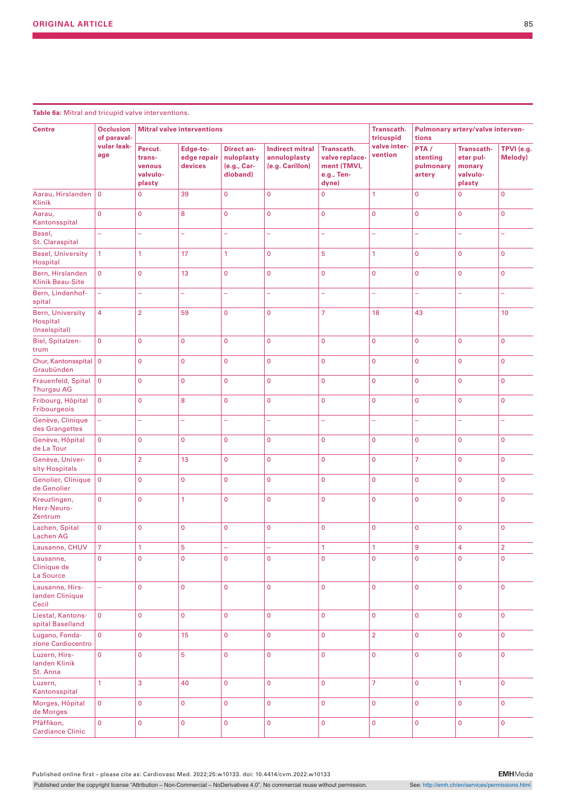| <b>Centre</b>                                        | <b>Occlusion</b><br>of paraval- |                                                   | <b>Mitral valve interventions</b>  |                                                            | Transcath.<br>tricuspid                                   | Pulmonary artery/valve interven-<br>tions                          |                         |                                          |                                                                |                       |
|------------------------------------------------------|---------------------------------|---------------------------------------------------|------------------------------------|------------------------------------------------------------|-----------------------------------------------------------|--------------------------------------------------------------------|-------------------------|------------------------------------------|----------------------------------------------------------------|-----------------------|
|                                                      | vular leak-<br>age              | Percut.<br>trans-<br>venous<br>valvulo-<br>plasty | Edge-to-<br>edge repair<br>devices | <b>Direct an-</b><br>nuloplasty<br>(e.g., Car-<br>dioband) | <b>Indirect mitral</b><br>annuloplasty<br>(e.g. Carillon) | Transcath.<br>valve replace-<br>ment (TMVI,<br>e.g., Ten-<br>dyne) | valve inter-<br>vention | PTA /<br>stenting<br>pulmonary<br>artery | <b>Transcath-</b><br>eter pul-<br>monary<br>valvulo-<br>plasty | TPVI (e.g.<br>Melody) |
| Aarau, Hirslanden<br>Klinik                          | $\mathbf 0$                     | $\mathbf 0$                                       | 39                                 | 0                                                          | $\mathbf{0}$                                              | $\pmb{0}$                                                          | 1                       | $\overline{0}$                           | $\mathbf 0$                                                    | $\overline{0}$        |
| Aarau,<br>Kantonsspital                              | $\overline{0}$                  | $\mathbf 0$                                       | 8                                  | $\overline{0}$                                             | $\overline{0}$                                            | $\mathbf{0}$                                                       | $\mathbf{0}$            | $\overline{0}$                           | $\mathbf 0$                                                    | $\overline{0}$        |
| Basel,<br>St. Claraspital                            | ÷,                              | ÷,                                                | L,                                 | ÷,                                                         | ÷,                                                        | L,                                                                 | L,                      | ÷,                                       | $\overline{\phantom{0}}$                                       | ÷                     |
| <b>Basel, University</b><br>Hospital                 | 1                               | 1                                                 | 17                                 | $\mathbf{1}$                                               | $\mathbf 0$                                               | 5                                                                  | 1                       | $\mathbf 0$                              | $\mathbf 0$                                                    | $\mathbf 0$           |
| Bern, Hirslanden<br><b>Klinik Beau-Site</b>          | $\mathbf 0$                     | $\mathbf 0$                                       | 13                                 | $\overline{0}$                                             | $\mathbf 0$                                               | $\mathbf 0$                                                        | $\mathbf{0}$            | $\mathbf 0$                              | $\mathbf 0$                                                    | $\mathbf 0$           |
| Bern, Lindenhof-<br>spital                           | ÷,                              | ÷,                                                | L,                                 | ÷,                                                         | ÷,                                                        | ÷                                                                  | L                       | ÷,                                       |                                                                | L.                    |
| <b>Bern, University</b><br>Hospital<br>(Inselspital) | $\overline{4}$                  | $\overline{2}$                                    | 59                                 | $\overline{0}$                                             | $\overline{0}$                                            | $\overline{7}$                                                     | 18                      | 43                                       |                                                                | 10                    |
| Biel, Spitalzen-<br>trum                             | $\overline{0}$                  | $\mathbf{0}$                                      | $\overline{0}$                     | $\overline{0}$                                             | $\overline{0}$                                            | $\mathbf 0$                                                        | $\mathbf{0}$            | $\mathbf 0$                              | $\mathbf 0$                                                    | $\overline{0}$        |
| Chur, Kantonsspital 0<br>Graubünden                  |                                 | $\mathbf 0$                                       | $\overline{0}$                     | $\overline{0}$                                             | $\mathbf 0$                                               | $\mathbf 0$                                                        | $\mathbf{0}$            | $\overline{0}$                           | $\mathbf 0$                                                    | $\overline{0}$        |
| Frauenfeld, Spital<br><b>Thurgau AG</b>              | $\mathbf 0$                     | $\mathbf 0$                                       | $\mathbf 0$                        | $\mathbf{0}$                                               | $\mathbf 0$                                               | $\mathbf 0$                                                        | $\mathbf 0$             | $\mathbf 0$                              | $\mathbf 0$                                                    | $\mathbf 0$           |
| Fribourg, Hôpital<br>Fribourgeois                    | $\mathbf 0$                     | $\mathbf 0$                                       | 8                                  | $\overline{0}$                                             | $\overline{0}$                                            | $\mathbf 0$                                                        | $\mathbf 0$             | $\mathbf 0$                              | $\mathbf{0}$                                                   | $\overline{0}$        |
| Genève, Clinique<br>des Grangettes                   | 4                               | ÷,                                                | -                                  | ÷                                                          | ÷                                                         | ÷                                                                  | ÷,                      | ÷,                                       | ÷                                                              | ÷                     |
| Genève, Hôpital<br>de La Tour                        | $\mathbf 0$                     | $\mathbf{0}$                                      | $\mathbf 0$                        | $\overline{0}$                                             | $\mathbf 0$                                               | $\mathbf 0$                                                        | $\mathbf 0$             | $\overline{0}$                           | $\mathbf{0}$                                                   | $\mathbf 0$           |
| Genève, Univer-<br>sity Hospitals                    | $\mathbf 0$                     | $\overline{2}$                                    | 13                                 | 0                                                          | $\mathbf 0$                                               | $\mathbf 0$                                                        | $\mathbf 0$             | 7                                        | $\mathbf{0}$                                                   | $\mathbf 0$           |
| Genolier, Clinique<br>de Genolier                    | $\overline{0}$                  | $\overline{0}$                                    | $\overline{0}$                     | $\overline{0}$                                             | $\overline{0}$                                            | $\mathbf 0$                                                        | $\mathbf 0$             | $\mathbf 0$                              | $\mathbf{0}$                                                   | $\overline{0}$        |
| Kreuzlingen,<br>Herz-Neuro-<br>Zentrum               | $\mathbf 0$                     | $\overline{0}$                                    | 1                                  | $\overline{0}$                                             | $\mathbf 0$                                               | $\mathbf 0$                                                        | $\mathbf 0$             | $\overline{0}$                           | $\mathbf 0$                                                    | $\mathbf{0}$          |
| Lachen, Spital<br><b>Lachen AG</b>                   | $\mathbf 0$                     | $\overline{0}$                                    | $\mathbf 0$                        | $\overline{0}$                                             | $\mathbf{0}$                                              | $\mathbf 0$                                                        | $\mathbf 0$             | $\overline{0}$                           | $\mathbf 0$                                                    | $\overline{0}$        |
| Lausanne, CHUV                                       | $\overline{7}$                  | 1                                                 | 5                                  |                                                            |                                                           | 1                                                                  | 1                       | 9                                        | $\overline{4}$                                                 | $\overline{2}$        |
| Lausanne,<br>Clinique de<br>La Source                | $\overline{0}$                  | $\overline{0}$                                    | $\overline{0}$                     | $\overline{0}$                                             | $\mathbf{0}$                                              | $\overline{0}$                                                     | $\overline{0}$          | $\overline{0}$                           | $\mathbf{0}$                                                   | $\overline{0}$        |
| Lausanne, Hirs-<br>landen Clinique<br>Cecil          | ÷,                              | $\overline{0}$                                    | $\overline{0}$                     | $\overline{0}$                                             | $\overline{0}$                                            | $\overline{0}$                                                     | $\overline{0}$          | $\mathbf{0}$                             | $\mathbf{0}$                                                   | $\overline{0}$        |
| Liestal, Kantons-<br>spital Baselland                | $\mathbf 0$                     | $\mathbf 0$                                       | $\overline{0}$                     | $\overline{0}$                                             | $\mathbf{0}$                                              | $\overline{0}$                                                     | $\overline{0}$          | $\overline{0}$                           | $\mathbf{0}$                                                   | $\mathbf{0}$          |
| Lugano, Fonda-<br>zione Cardiocentro                 | $\mathbf 0$                     | $\mathbf 0$                                       | 15                                 | $\overline{0}$                                             | $\mathbf 0$                                               | $\mathbf{0}$                                                       | $\overline{2}$          | $\mathbf 0$                              | $\mathbf{0}$                                                   | $\overline{0}$        |
| Luzern, Hirs-<br>landen Klinik<br>St. Anna           | $\mathbf 0$                     | $\mathbf 0$                                       | 5                                  | 0                                                          | $\mathbf{0}$                                              | $\overline{0}$                                                     | $\mathbf 0$             | $\mathbf{0}$                             | $\mathbf{0}$                                                   | $\overline{0}$        |
| Luzern,<br>Kantonsspital                             | $\mathbf{1}$                    | 3                                                 | 40                                 | $\overline{0}$                                             | $\mathbf{0}$                                              | $\mathbf{0}$                                                       | $\overline{7}$          | $\mathbf{0}$                             | $\mathbf{1}$                                                   | $\overline{0}$        |
| Morges, Hôpital<br>de Morges                         | $\mathbf 0$                     | 0                                                 | $\mathbf 0$                        | $\overline{0}$                                             | $\overline{0}$                                            | $\mathbf{0}$                                                       | $\overline{0}$          | $\mathbf 0$                              | $\mathbf 0$                                                    | $\overline{0}$        |
| Pfäffikon,<br><b>Cardiance Clinic</b>                | $\overline{0}$                  | $\mathbf 0$                                       | $\mathbf 0$                        | $\overline{0}$                                             | $\mathbf 0$                                               | $\mathbf 0$                                                        | $\overline{0}$          | $\mathbf 0$                              | $\mathbf 0$                                                    | $\overline{0}$        |

**Table 6a:** Mitral and tricupid valve interventions.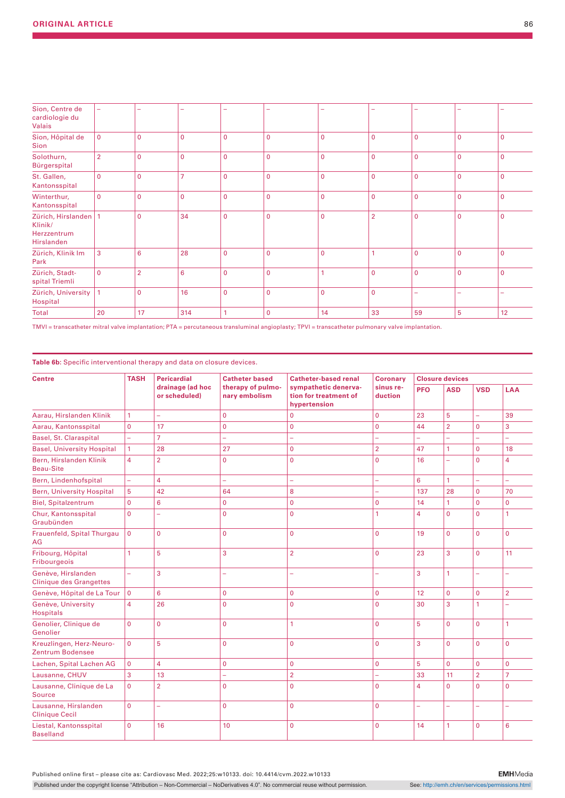| Sion, Centre de<br>cardiologie du<br><b>Valais</b>             | -              |                |                |             |             |                |                |             |                |              |
|----------------------------------------------------------------|----------------|----------------|----------------|-------------|-------------|----------------|----------------|-------------|----------------|--------------|
| Sion, Hôpital de<br><b>Sion</b>                                | $\mathbf 0$    | $\mathbf 0$    | $\mathbf 0$    | $\mathbf 0$ | $\Omega$    | $\mathbf{0}$   | $\mathbf 0$    | $\mathbf 0$ | $\mathbf{0}$   | $\mathbf{0}$ |
| Solothurn,<br>Bürgerspital                                     | $\overline{2}$ | $\mathbf 0$    | $\overline{0}$ | $\mathbf 0$ | $\mathbf 0$ | $\overline{0}$ | $\mathbf{0}$   | $\mathbf 0$ | $\overline{0}$ | $\mathbf 0$  |
| St. Gallen,<br>Kantonsspital                                   | $\mathbf 0$    | $\mathbf 0$    | $\overline{7}$ | $\mathbf 0$ | $\Omega$    | $\Omega$       | $\mathbf 0$    | $\mathbf 0$ | $\mathbf{0}$   | $\mathbf{0}$ |
| Winterthur,<br>Kantonsspital                                   | $\mathbf{0}$   | $\mathbf 0$    | $\overline{0}$ | $\mathbf 0$ | $\mathbf 0$ | $\overline{0}$ | $\mathbf 0$    | $\mathbf 0$ | $\overline{0}$ | $\mathbf 0$  |
| Zürich, Hirslanden   1<br>Klinik/<br>Herzzentrum<br>Hirslanden |                | $\mathbf 0$    | 34             | $\Omega$    | $\Omega$    | $\overline{0}$ | $\overline{2}$ | $\mathbf 0$ | $\overline{0}$ | $\Omega$     |
| Zürich, Klinik Im<br>Park                                      | 3              | 6              | 28             | 0           | $\Omega$    | $\overline{0}$ |                | $\mathbf 0$ | 0              | $\Omega$     |
| Zürich, Stadt-<br>spital Triemli                               | $\mathbf{0}$   | $\overline{2}$ | 6              | $\mathbf 0$ | $\mathbf 0$ |                | $\mathbf 0$    | $\mathbf 0$ | $\overline{0}$ | $\Omega$     |
| Zürich, University<br>Hospital                                 | 1              | $\mathbf 0$    | 16             | $\mathbf 0$ | $\Omega$    | $\overline{0}$ | $\Omega$       | ۰           | -              | -            |
| Total                                                          | 20             | 17             | 314            | 1           | $\mathbf 0$ | 14             | 33             | 59          | 5              | 12           |

TMVI = transcatheter mitral valve implantation; PTA = percutaneous transluminal angioplasty; TPVI = transcatheter pulmonary valve implantation.

**Table 6b:** Specific interventional therapy and data on closure devices.

| <b>Centre</b>                                        | <b>TASH</b>    | <b>Pericardial</b>                | <b>Catheter based</b>              | <b>Catheter-based renal</b>                                   | <b>Coronary</b>      |                | <b>Closure devices</b> |                |                |
|------------------------------------------------------|----------------|-----------------------------------|------------------------------------|---------------------------------------------------------------|----------------------|----------------|------------------------|----------------|----------------|
|                                                      |                | drainage (ad hoc<br>or scheduled) | therapy of pulmo-<br>nary embolism | sympathetic denerva-<br>tion for treatment of<br>hypertension | sinus re-<br>duction | <b>PFO</b>     | <b>ASD</b>             | <b>VSD</b>     | <b>LAA</b>     |
| Aarau, Hirslanden Klinik                             | 1              | ÷.                                | $\mathbf 0$                        | $\mathbf{0}$                                                  | 0                    | 23             | 5                      | ÷,             | 39             |
| Aarau, Kantonsspital                                 | $\overline{0}$ | 17                                | $\mathbf 0$                        | $\mathbf{0}$                                                  | $\overline{0}$       | 44             | $\overline{2}$         | $\Omega$       | 3              |
| Basel, St. Claraspital                               | L,             | $\overline{7}$                    | ÷,                                 | ÷,                                                            | $\overline{a}$       |                | L,                     | $\overline{a}$ | L.             |
| <b>Basel, University Hospital</b>                    | 1              | 28                                | 27                                 | $\mathbf{0}$                                                  | $\overline{2}$       | 47             | $\mathbf{1}$           | $\mathbf 0$    | 18             |
| Bern, Hirslanden Klinik<br><b>Beau-Site</b>          | 4              | $\overline{2}$                    | $\mathbf 0$                        | $\overline{0}$                                                | $\overline{0}$       | 16             | L.                     | $\overline{0}$ | $\overline{4}$ |
| Bern, Lindenhofspital                                | L,             | $\overline{4}$                    | ÷,                                 | ÷                                                             | L,                   | 6              | $\mathbf{1}$           | L.             | u,             |
| <b>Bern, University Hospital</b>                     | 5              | 42                                | 64                                 | 8                                                             | L,                   | 137            | 28                     | $\Omega$       | 70             |
| <b>Biel, Spitalzentrum</b>                           | $\overline{0}$ | 6                                 | 0                                  | $\mathbf{0}$                                                  | 0                    | 14             | $\mathbf{1}$           | $\Omega$       | $\Omega$       |
| Chur, Kantonsspital<br>Graubünden                    | $\overline{0}$ |                                   | $\mathbf 0$                        | $\overline{0}$                                                | 1                    | $\overline{4}$ | $\Omega$               | $\Omega$       | 1              |
| Frauenfeld, Spital Thurgau<br>AG                     | $\overline{0}$ | $\mathbf{0}$                      | $\mathbf 0$                        | $\overline{0}$                                                | $\overline{0}$       | 19             | $\overline{0}$         | $\overline{0}$ | $\Omega$       |
| Fribourg, Hôpital<br>Fribourgeois                    | 1              | 5                                 | 3                                  | $\overline{2}$                                                | $\overline{0}$       | 23             | 3                      | $\Omega$       | 11             |
| Genève, Hirslanden<br><b>Clinique des Grangettes</b> | ÷,             | 3                                 | ÷,                                 | ÷                                                             | $\overline{a}$       | 3              | 1                      | L,             |                |
| Genève, Hôpital de La Tour                           | $\mathbf 0$    | $6\overline{6}$                   | $\mathbf 0$                        | $\overline{0}$                                                | $\overline{0}$       | 12             | $\overline{0}$         | $\overline{0}$ | $\overline{2}$ |
| Genève, University<br><b>Hospitals</b>               | 4              | 26                                | $\Omega$                           | $\Omega$                                                      | $\overline{0}$       | 30             | 3                      | 1              |                |
| Genolier, Clinique de<br>Genolier                    | $\overline{0}$ | $\Omega$                          | $\mathbf 0$                        | $\mathbf{1}$                                                  | $\overline{0}$       | 5              | $\Omega$               | $\overline{0}$ | $\mathbf{1}$   |
| Kreuzlingen, Herz-Neuro-<br>Zentrum Bodensee         | $\overline{0}$ | 5                                 | $\mathbf 0$                        | $\overline{0}$                                                | $\overline{0}$       | 3              | $\Omega$               | $\overline{0}$ | $\Omega$       |
| Lachen, Spital Lachen AG                             | 0              | $\overline{4}$                    | 0                                  | $\overline{0}$                                                | $\overline{0}$       | 5              | $\Omega$               | $\Omega$       | $\Omega$       |
| Lausanne, CHUV                                       | 3              | 13                                | L.                                 | $\overline{2}$                                                | L,                   | 33             | 11                     | $\overline{2}$ | $\overline{7}$ |
| Lausanne, Clinique de La<br><b>Source</b>            | $\overline{0}$ | $\overline{2}$                    | $\Omega$                           | $\Omega$                                                      | $\mathbf{0}$         | $\overline{4}$ | $\mathbf{0}$           | $\overline{0}$ | $\Omega$       |
| Lausanne, Hirslanden<br><b>Clinique Cecil</b>        | $\overline{0}$ |                                   | 0                                  | $\Omega$                                                      | $\overline{0}$       | ÷,             | ÷                      | ä,             |                |
| Liestal, Kantonsspital<br><b>Baselland</b>           | $\overline{0}$ | 16                                | 10                                 | $\Omega$                                                      | 0                    | 14             | 1                      | $\overline{0}$ | 6              |

Published online first – please cite as: Cardiovasc Med. 2022;25:w10133. doi: 10.4414/cvm.2022.w10133